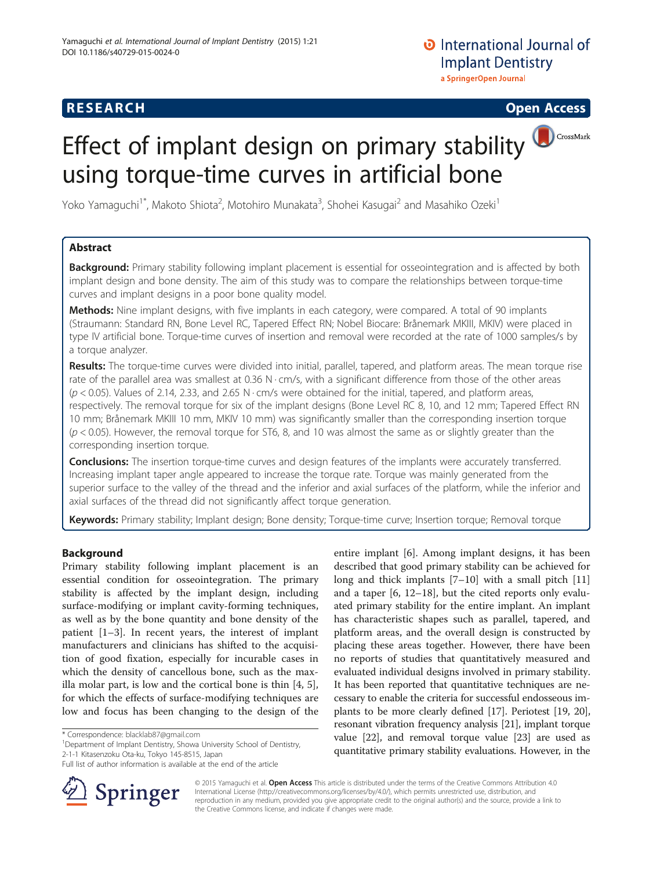# **RESEARCH CHINESE ARCH CHINESE ARCH CHINESE ARCH <b>CHINESE ARCH**

# Effect of implant design on primary stability using torque-time curves in artificial bone

Yoko Yamaguchi<sup>1\*</sup>, Makoto Shiota<sup>2</sup>, Motohiro Munakata<sup>3</sup>, Shohei Kasugai<sup>2</sup> and Masahiko Ozeki<sup>1</sup>

# Abstract

Background: Primary stability following implant placement is essential for osseointegration and is affected by both implant design and bone density. The aim of this study was to compare the relationships between torque-time curves and implant designs in a poor bone quality model.

Methods: Nine implant designs, with five implants in each category, were compared. A total of 90 implants (Straumann: Standard RN, Bone Level RC, Tapered Effect RN; Nobel Biocare: Brånemark MKIII, MKIV) were placed in type IV artificial bone. Torque-time curves of insertion and removal were recorded at the rate of 1000 samples/s by a torque analyzer.

Results: The torque-time curves were divided into initial, parallel, tapered, and platform areas. The mean torque rise rate of the parallel area was smallest at 0.36 N · cm/s, with a significant difference from those of the other areas  $(p < 0.05)$ . Values of 2.14, 2.33, and 2.65 N  $\cdot$  cm/s were obtained for the initial, tapered, and platform areas, respectively. The removal torque for six of the implant designs (Bone Level RC 8, 10, and 12 mm; Tapered Effect RN 10 mm; Brånemark MKIII 10 mm, MKIV 10 mm) was significantly smaller than the corresponding insertion torque  $(p < 0.05)$ . However, the removal torque for ST6, 8, and 10 was almost the same as or slightly greater than the corresponding insertion torque.

**Conclusions:** The insertion torque-time curves and design features of the implants were accurately transferred. Increasing implant taper angle appeared to increase the torque rate. Torque was mainly generated from the superior surface to the valley of the thread and the inferior and axial surfaces of the platform, while the inferior and axial surfaces of the thread did not significantly affect torque generation.

Keywords: Primary stability; Implant design; Bone density; Torque-time curve; Insertion torque; Removal torque

# Background

Primary stability following implant placement is an essential condition for osseointegration. The primary stability is affected by the implant design, including surface-modifying or implant cavity-forming techniques, as well as by the bone quantity and bone density of the patient [\[1](#page-5-0)–[3](#page-5-0)]. In recent years, the interest of implant manufacturers and clinicians has shifted to the acquisition of good fixation, especially for incurable cases in which the density of cancellous bone, such as the maxilla molar part, is low and the cortical bone is thin [\[4](#page-5-0), [5](#page-6-0)], for which the effects of surface-modifying techniques are low and focus has been changing to the design of the

<sup>1</sup>Department of Implant Dentistry, Showa University School of Dentistry, 2-1-1 Kitasenzoku Ota-ku, Tokyo 145-8515, Japan

Full list of author information is available at the end of the article



Springer

© 2015 Yamaguchi et al. Open Access This article is distributed under the terms of the Creative Commons Attribution 4.0 International License ([http://creativecommons.org/licenses/by/4.0/\)](http://creativecommons.org/licenses/by/4.0/), which permits unrestricted use, distribution, and reproduction in any medium, provided you give appropriate credit to the original author(s) and the source, provide a link to the Creative Commons license, and indicate if changes were made.

<sup>\*</sup> Correspondence: [blacklab87@gmail.com](mailto:blacklab87@gmail.com) <sup>1</sup>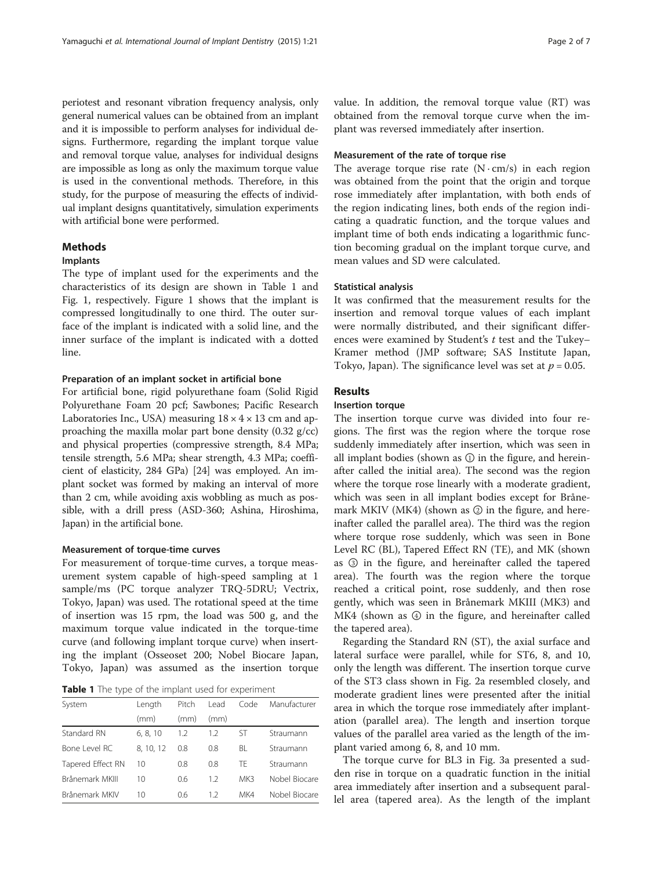periotest and resonant vibration frequency analysis, only general numerical values can be obtained from an implant and it is impossible to perform analyses for individual designs. Furthermore, regarding the implant torque value and removal torque value, analyses for individual designs are impossible as long as only the maximum torque value is used in the conventional methods. Therefore, in this study, for the purpose of measuring the effects of individual implant designs quantitatively, simulation experiments with artificial bone were performed.

# Methods

# Implants

The type of implant used for the experiments and the characteristics of its design are shown in Table 1 and Fig. [1,](#page-2-0) respectively. Figure [1](#page-2-0) shows that the implant is compressed longitudinally to one third. The outer surface of the implant is indicated with a solid line, and the inner surface of the implant is indicated with a dotted line.

#### Preparation of an implant socket in artificial bone

For artificial bone, rigid polyurethane foam (Solid Rigid Polyurethane Foam 20 pcf; Sawbones; Pacific Research Laboratories Inc., USA) measuring  $18 \times 4 \times 13$  cm and approaching the maxilla molar part bone density (0.32 g/cc) and physical properties (compressive strength, 8.4 MPa; tensile strength, 5.6 MPa; shear strength, 4.3 MPa; coefficient of elasticity, 284 GPa) [\[24\]](#page-6-0) was employed. An implant socket was formed by making an interval of more than 2 cm, while avoiding axis wobbling as much as possible, with a drill press (ASD-360; Ashina, Hiroshima, Japan) in the artificial bone.

### Measurement of torque-time curves

For measurement of torque-time curves, a torque measurement system capable of high-speed sampling at 1 sample/ms (PC torque analyzer TRQ-5DRU; Vectrix, Tokyo, Japan) was used. The rotational speed at the time of insertion was 15 rpm, the load was 500 g, and the maximum torque value indicated in the torque-time curve (and following implant torque curve) when inserting the implant (Osseoset 200; Nobel Biocare Japan, Tokyo, Japan) was assumed as the insertion torque

|  |  | Table 1 The type of the implant used for experiment |  |  |
|--|--|-----------------------------------------------------|--|--|
|--|--|-----------------------------------------------------|--|--|

| System            | Length    | Pitch | l ead | Code | Manufacturer  |
|-------------------|-----------|-------|-------|------|---------------|
|                   | (mm)      | (mm)  | (mm)  |      |               |
| Standard RN       | 6, 8, 10  | 1.2   | 1.2   | ST   | Straumann     |
| Bone Level RC     | 8, 10, 12 | 0.8   | 0.8   | BL   | Straumann     |
| Tapered Effect RN | $10 \,$   | 0.8   | 0.8   | TF.  | Straumann     |
| Brånemark MKIII   | 10        | 0.6   | 12    | MK3  | Nobel Biocare |
| Brånemark MKIV    | 10        | 0.6   | 12    | MK4  | Nobel Biocare |

value. In addition, the removal torque value (RT) was obtained from the removal torque curve when the implant was reversed immediately after insertion.

# Measurement of the rate of torque rise

The average torque rise rate  $(N \cdot cm/s)$  in each region was obtained from the point that the origin and torque rose immediately after implantation, with both ends of the region indicating lines, both ends of the region indicating a quadratic function, and the torque values and implant time of both ends indicating a logarithmic function becoming gradual on the implant torque curve, and mean values and SD were calculated.

## Statistical analysis

It was confirmed that the measurement results for the insertion and removal torque values of each implant were normally distributed, and their significant differences were examined by Student's t test and the Tukey– Kramer method (JMP software; SAS Institute Japan, Tokyo, Japan). The significance level was set at  $p = 0.05$ .

# Results

# Insertion torque

The insertion torque curve was divided into four regions. The first was the region where the torque rose suddenly immediately after insertion, which was seen in all implant bodies (shown as  $\mathbb O$  in the figure, and hereinafter called the initial area). The second was the region where the torque rose linearly with a moderate gradient, which was seen in all implant bodies except for Brånemark MKIV (MK4) (shown as ② in the figure, and hereinafter called the parallel area). The third was the region where torque rose suddenly, which was seen in Bone Level RC (BL), Tapered Effect RN (TE), and MK (shown as ③ in the figure, and hereinafter called the tapered area). The fourth was the region where the torque reached a critical point, rose suddenly, and then rose gently, which was seen in Brånemark MKIII (MK3) and MK4 (shown as ④ in the figure, and hereinafter called the tapered area).

Regarding the Standard RN (ST), the axial surface and lateral surface were parallel, while for ST6, 8, and 10, only the length was different. The insertion torque curve of the ST3 class shown in Fig. [2a](#page-2-0) resembled closely, and moderate gradient lines were presented after the initial area in which the torque rose immediately after implantation (parallel area). The length and insertion torque values of the parallel area varied as the length of the implant varied among 6, 8, and 10 mm.

The torque curve for BL3 in Fig. [3a](#page-3-0) presented a sudden rise in torque on a quadratic function in the initial area immediately after insertion and a subsequent parallel area (tapered area). As the length of the implant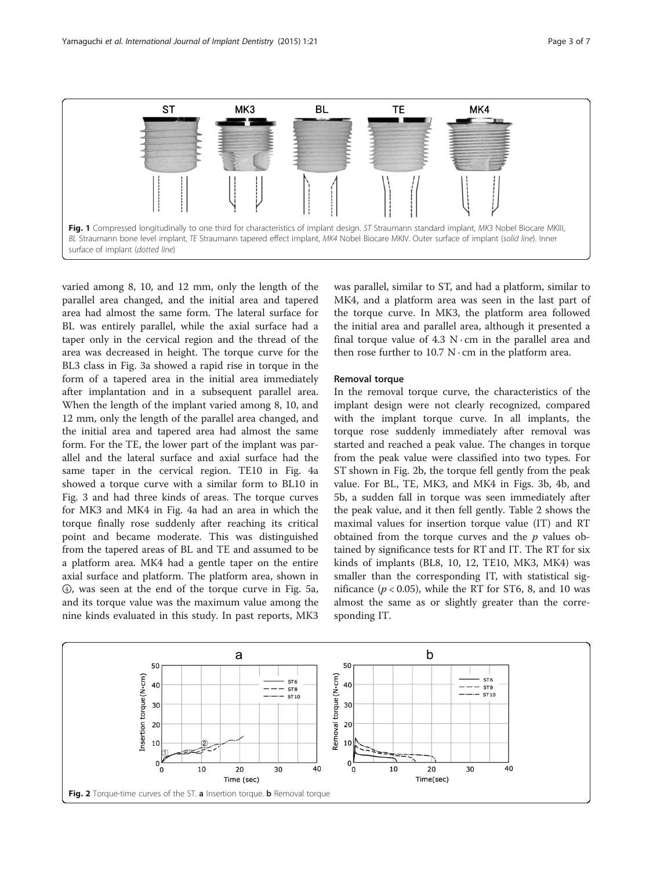<span id="page-2-0"></span>

varied among 8, 10, and 12 mm, only the length of the parallel area changed, and the initial area and tapered area had almost the same form. The lateral surface for BL was entirely parallel, while the axial surface had a taper only in the cervical region and the thread of the area was decreased in height. The torque curve for the BL3 class in Fig. [3a](#page-3-0) showed a rapid rise in torque in the form of a tapered area in the initial area immediately after implantation and in a subsequent parallel area. When the length of the implant varied among 8, 10, and 12 mm, only the length of the parallel area changed, and the initial area and tapered area had almost the same form. For the TE, the lower part of the implant was parallel and the lateral surface and axial surface had the same taper in the cervical region. TE10 in Fig. [4a](#page-3-0) showed a torque curve with a similar form to BL10 in Fig. [3](#page-3-0) and had three kinds of areas. The torque curves for MK3 and MK4 in Fig. [4a](#page-3-0) had an area in which the torque finally rose suddenly after reaching its critical point and became moderate. This was distinguished from the tapered areas of BL and TE and assumed to be a platform area. MK4 had a gentle taper on the entire axial surface and platform. The platform area, shown in ④, was seen at the end of the torque curve in Fig. [5a](#page-4-0), and its torque value was the maximum value among the nine kinds evaluated in this study. In past reports, MK3

was parallel, similar to ST, and had a platform, similar to MK4, and a platform area was seen in the last part of the torque curve. In MK3, the platform area followed the initial area and parallel area, although it presented a final torque value of 4.3 N $\cdot$  cm in the parallel area and then rose further to  $10.7 \text{ N} \cdot \text{cm}$  in the platform area.

## Removal torque

In the removal torque curve, the characteristics of the implant design were not clearly recognized, compared with the implant torque curve. In all implants, the torque rose suddenly immediately after removal was started and reached a peak value. The changes in torque from the peak value were classified into two types. For ST shown in Fig. 2b, the torque fell gently from the peak value. For BL, TE, MK3, and MK4 in Figs. [3b](#page-3-0), [4b](#page-3-0), and [5b,](#page-4-0) a sudden fall in torque was seen immediately after the peak value, and it then fell gently. Table [2](#page-4-0) shows the maximal values for insertion torque value (IT) and RT obtained from the torque curves and the  $p$  values obtained by significance tests for RT and IT. The RT for six kinds of implants (BL8, 10, 12, TE10, MK3, MK4) was smaller than the corresponding IT, with statistical significance ( $p < 0.05$ ), while the RT for ST6, 8, and 10 was almost the same as or slightly greater than the corresponding IT.

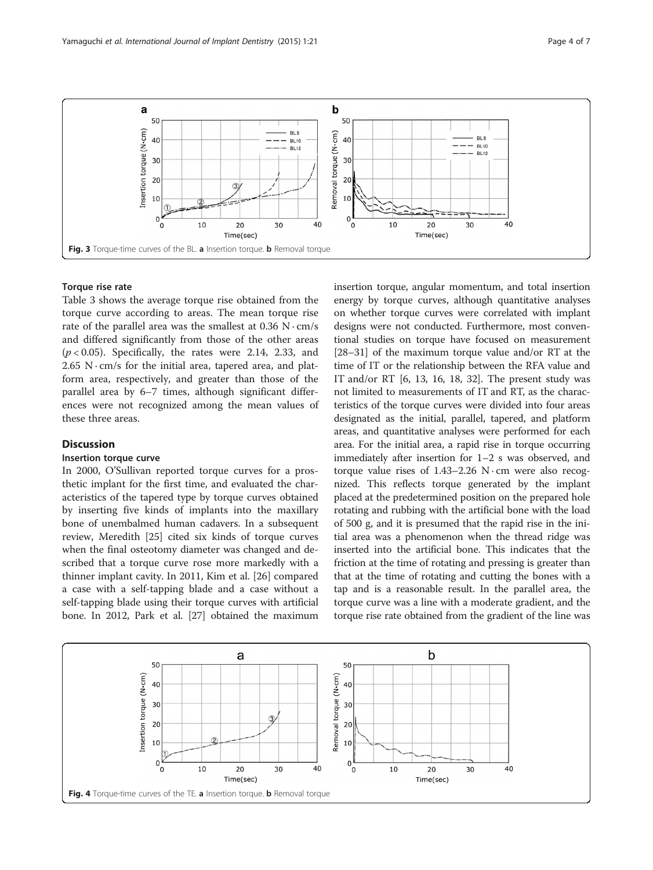<span id="page-3-0"></span>

## Torque rise rate

Table [3](#page-4-0) shows the average torque rise obtained from the torque curve according to areas. The mean torque rise rate of the parallel area was the smallest at  $0.36$  N $\cdot$ cm/s and differed significantly from those of the other areas  $(p < 0.05)$ . Specifically, the rates were 2.14, 2.33, and  $2.65$  N $\cdot$  cm/s for the initial area, tapered area, and platform area, respectively, and greater than those of the parallel area by 6–7 times, although significant differences were not recognized among the mean values of these three areas.

# **Discussion**

# Insertion torque curve

In 2000, O'Sullivan reported torque curves for a prosthetic implant for the first time, and evaluated the characteristics of the tapered type by torque curves obtained by inserting five kinds of implants into the maxillary bone of unembalmed human cadavers. In a subsequent review, Meredith [[25](#page-6-0)] cited six kinds of torque curves when the final osteotomy diameter was changed and described that a torque curve rose more markedly with a thinner implant cavity. In 2011, Kim et al. [\[26\]](#page-6-0) compared a case with a self-tapping blade and a case without a self-tapping blade using their torque curves with artificial bone. In 2012, Park et al. [[27](#page-6-0)] obtained the maximum insertion torque, angular momentum, and total insertion energy by torque curves, although quantitative analyses on whether torque curves were correlated with implant designs were not conducted. Furthermore, most conventional studies on torque have focused on measurement [[28](#page-6-0)–[31\]](#page-6-0) of the maximum torque value and/or RT at the time of IT or the relationship between the RFA value and IT and/or RT  $[6, 13, 16, 18, 32]$  $[6, 13, 16, 18, 32]$  $[6, 13, 16, 18, 32]$  $[6, 13, 16, 18, 32]$  $[6, 13, 16, 18, 32]$ . The present study was not limited to measurements of IT and RT, as the characteristics of the torque curves were divided into four areas designated as the initial, parallel, tapered, and platform areas, and quantitative analyses were performed for each area. For the initial area, a rapid rise in torque occurring immediately after insertion for 1–2 s was observed, and torque value rises of  $1.43-2.26$  N $\cdot$ cm were also recognized. This reflects torque generated by the implant placed at the predetermined position on the prepared hole rotating and rubbing with the artificial bone with the load of 500 g, and it is presumed that the rapid rise in the initial area was a phenomenon when the thread ridge was inserted into the artificial bone. This indicates that the friction at the time of rotating and pressing is greater than that at the time of rotating and cutting the bones with a tap and is a reasonable result. In the parallel area, the torque curve was a line with a moderate gradient, and the torque rise rate obtained from the gradient of the line was

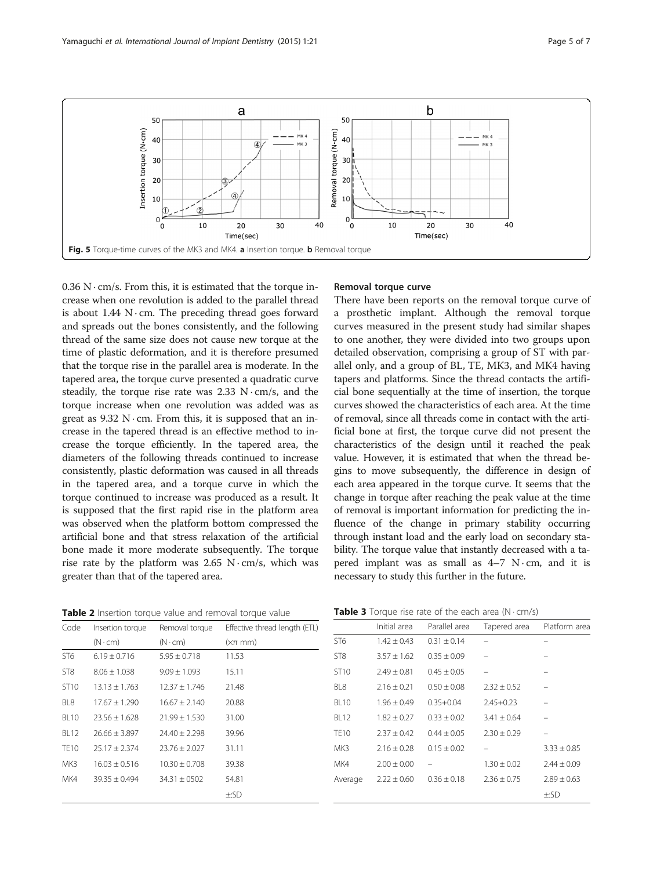<span id="page-4-0"></span>

 $0.36$  N $\cdot$  cm/s. From this, it is estimated that the torque increase when one revolution is added to the parallel thread is about  $1.44$  N $\cdot$ cm. The preceding thread goes forward and spreads out the bones consistently, and the following thread of the same size does not cause new torque at the time of plastic deformation, and it is therefore presumed that the torque rise in the parallel area is moderate. In the tapered area, the torque curve presented a quadratic curve steadily, the torque rise rate was  $2.33 \text{ N} \cdot \text{cm/s}$ , and the torque increase when one revolution was added was as great as  $9.32$  N $\cdot$ cm. From this, it is supposed that an increase in the tapered thread is an effective method to increase the torque efficiently. In the tapered area, the diameters of the following threads continued to increase consistently, plastic deformation was caused in all threads in the tapered area, and a torque curve in which the torque continued to increase was produced as a result. It is supposed that the first rapid rise in the platform area was observed when the platform bottom compressed the artificial bone and that stress relaxation of the artificial bone made it more moderate subsequently. The torque rise rate by the platform was  $2.65$  N $\cdot$ cm/s, which was greater than that of the tapered area.

#### Table 2 Insertion torque value and removal torque value

# Removal torque curve

There have been reports on the removal torque curve of a prosthetic implant. Although the removal torque curves measured in the present study had similar shapes to one another, they were divided into two groups upon detailed observation, comprising a group of ST with parallel only, and a group of BL, TE, MK3, and MK4 having tapers and platforms. Since the thread contacts the artificial bone sequentially at the time of insertion, the torque curves showed the characteristics of each area. At the time of removal, since all threads come in contact with the artificial bone at first, the torque curve did not present the characteristics of the design until it reached the peak value. However, it is estimated that when the thread begins to move subsequently, the difference in design of each area appeared in the torque curve. It seems that the change in torque after reaching the peak value at the time of removal is important information for predicting the influence of the change in primary stability occurring through instant load and the early load on secondary stability. The torque value that instantly decreased with a tapered implant was as small as  $4-7$  N $\cdot$ cm, and it is necessary to study this further in the future.

| Code             | Insertion torque  | Removal torque    | Effective thread length (ETL) |
|------------------|-------------------|-------------------|-------------------------------|
|                  | $(N \cdot cm)$    | $(N \cdot cm)$    | $(x\pi \text{ mm})$           |
| ST <sub>6</sub>  | $6.19 \pm 0.716$  | $5.95 \pm 0.718$  | 11.53                         |
| ST <sub>8</sub>  | $8.06 \pm 1.038$  | $9.09 \pm 1.093$  | 15.11                         |
| ST <sub>10</sub> | $13.13 \pm 1.763$ | $12.37 \pm 1.746$ | 21.48                         |
| BL <sub>8</sub>  | $17.67 \pm 1.290$ | $16.67 \pm 2.140$ | 20.88                         |
| <b>BL10</b>      | $23.56 \pm 1.628$ | $21.99 \pm 1.530$ | 31.00                         |
| <b>BL12</b>      | $26.66 \pm 3.897$ | $24.40 \pm 2.298$ | 39.96                         |
| <b>TE10</b>      | $25.17 \pm 2.374$ | $23.76 \pm 2.027$ | 31.11                         |
| MK3              | $16.03 \pm 0.516$ | $10.30 \pm 0.708$ | 39.38                         |
| MK4              | $39.35 \pm 0.494$ | $34.31 \pm 0502$  | 54.81                         |
|                  |                   |                   | ±:SD                          |

**Table 3** Torque rise rate of the each area  $(N \cdot cm/s)$ 

|                  | Initial area    | Parallel area   | Tapered area    | Platform area   |
|------------------|-----------------|-----------------|-----------------|-----------------|
| ST <sub>6</sub>  | $1.42 \pm 0.43$ | $0.31 \pm 0.14$ |                 |                 |
| ST <sub>8</sub>  | $3.57 \pm 1.62$ | $0.35 \pm 0.09$ |                 |                 |
| ST <sub>10</sub> | $2.49 \pm 0.81$ | $0.45 \pm 0.05$ |                 |                 |
| BL8              | $2.16 \pm 0.21$ | $0.50 \pm 0.08$ | $2.32 \pm 0.52$ |                 |
| <b>BI 10</b>     | $1.96 \pm 0.49$ | $0.35 + 0.04$   | $2.45 + 0.23$   |                 |
| <b>BL12</b>      | $1.82 \pm 0.27$ | $0.33 \pm 0.02$ | $3.41 \pm 0.64$ |                 |
| <b>TE10</b>      | $2.37 \pm 0.42$ | $0.44 + 0.05$   | $2.30 \pm 0.29$ |                 |
| MK3              | $2.16 \pm 0.28$ | $0.15 \pm 0.02$ |                 | $3.33 \pm 0.85$ |
| MK4              | $2.00 \pm 0.00$ |                 | $1.30 \pm 0.02$ | $2.44 \pm 0.09$ |
| Average          | $2.22 \pm 0.60$ | $0.36 \pm 0.18$ | $2.36 \pm 0.75$ | $2.89 \pm 0.63$ |
|                  |                 |                 |                 | ±:SD            |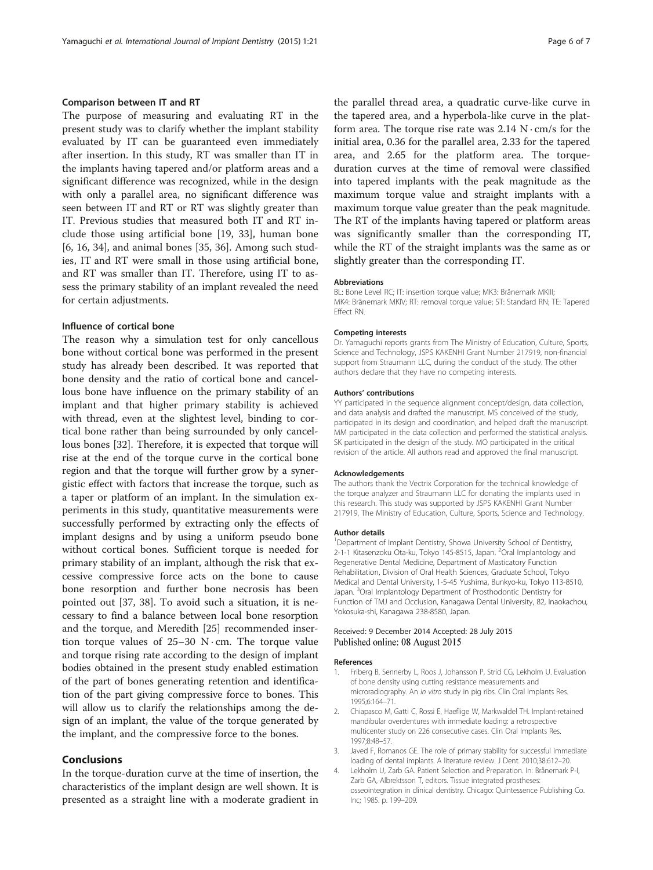# <span id="page-5-0"></span>Comparison between IT and RT

The purpose of measuring and evaluating RT in the present study was to clarify whether the implant stability evaluated by IT can be guaranteed even immediately after insertion. In this study, RT was smaller than IT in the implants having tapered and/or platform areas and a significant difference was recognized, while in the design with only a parallel area, no significant difference was seen between IT and RT or RT was slightly greater than IT. Previous studies that measured both IT and RT include those using artificial bone [\[19, 33\]](#page-6-0), human bone [[6, 16, 34\]](#page-6-0), and animal bones [\[35](#page-6-0), [36](#page-6-0)]. Among such studies, IT and RT were small in those using artificial bone, and RT was smaller than IT. Therefore, using IT to assess the primary stability of an implant revealed the need for certain adjustments.

# Influence of cortical bone

The reason why a simulation test for only cancellous bone without cortical bone was performed in the present study has already been described. It was reported that bone density and the ratio of cortical bone and cancellous bone have influence on the primary stability of an implant and that higher primary stability is achieved with thread, even at the slightest level, binding to cortical bone rather than being surrounded by only cancellous bones [\[32](#page-6-0)]. Therefore, it is expected that torque will rise at the end of the torque curve in the cortical bone region and that the torque will further grow by a synergistic effect with factors that increase the torque, such as a taper or platform of an implant. In the simulation experiments in this study, quantitative measurements were successfully performed by extracting only the effects of implant designs and by using a uniform pseudo bone without cortical bones. Sufficient torque is needed for primary stability of an implant, although the risk that excessive compressive force acts on the bone to cause bone resorption and further bone necrosis has been pointed out [[37](#page-6-0), [38](#page-6-0)]. To avoid such a situation, it is necessary to find a balance between local bone resorption and the torque, and Meredith [\[25](#page-6-0)] recommended insertion torque values of  $25-30$  N $\cdot$ cm. The torque value and torque rising rate according to the design of implant bodies obtained in the present study enabled estimation of the part of bones generating retention and identification of the part giving compressive force to bones. This will allow us to clarify the relationships among the design of an implant, the value of the torque generated by the implant, and the compressive force to the bones.

# Conclusions

In the torque-duration curve at the time of insertion, the characteristics of the implant design are well shown. It is presented as a straight line with a moderate gradient in the parallel thread area, a quadratic curve-like curve in the tapered area, and a hyperbola-like curve in the platform area. The torque rise rate was  $2.14$  N $\cdot$  cm/s for the initial area, 0.36 for the parallel area, 2.33 for the tapered area, and 2.65 for the platform area. The torqueduration curves at the time of removal were classified into tapered implants with the peak magnitude as the maximum torque value and straight implants with a maximum torque value greater than the peak magnitude. The RT of the implants having tapered or platform areas was significantly smaller than the corresponding IT, while the RT of the straight implants was the same as or slightly greater than the corresponding IT.

#### Abbreviations

BL: Bone Level RC; IT: insertion torque value; MK3: Brånemark MKIII; MK4: Brånemark MKIV; RT: removal torque value; ST: Standard RN; TE: Tapered Effect RN.

#### Competing interests

Dr. Yamaguchi reports grants from The Ministry of Education, Culture, Sports, Science and Technology, JSPS KAKENHI Grant Number 217919, non-financial support from Straumann LLC, during the conduct of the study. The other authors declare that they have no competing interests.

#### Authors' contributions

YY participated in the sequence alignment concept/design, data collection, and data analysis and drafted the manuscript. MS conceived of the study, participated in its design and coordination, and helped draft the manuscript. MM participated in the data collection and performed the statistical analysis. SK participated in the design of the study. MO participated in the critical revision of the article. All authors read and approved the final manuscript.

#### Acknowledgements

The authors thank the Vectrix Corporation for the technical knowledge of the torque analyzer and Straumann LLC for donating the implants used in this research. This study was supported by JSPS KAKENHI Grant Number 217919, The Ministry of Education, Culture, Sports, Science and Technology.

#### Author details

<sup>1</sup> Department of Implant Dentistry, Showa University School of Dentistry, 2-1-1 Kitasenzoku Ota-ku, Tokyo 145-8515, Japan. <sup>2</sup>Oral Implantology and Regenerative Dental Medicine, Department of Masticatory Function Rehabilitation, Division of Oral Health Sciences, Graduate School, Tokyo Medical and Dental University, 1-5-45 Yushima, Bunkyo-ku, Tokyo 113-8510, Japan. <sup>3</sup>Oral Implantology Department of Prosthodontic Dentistry for Function of TMJ and Occlusion, Kanagawa Dental University, 82, Inaokachou, Yokosuka-shi, Kanagawa 238-8580, Japan.

## Received: 9 December 2014 Accepted: 28 July 2015 Published online: 08 August 2015

#### References

- 1. Friberg B, Sennerby L, Roos J, Johansson P, Strid CG, Lekholm U. Evaluation of bone density using cutting resistance measurements and microradiography. An in vitro study in pig ribs. Clin Oral Implants Res. 1995;6:164–71.
- 2. Chiapasco M, Gatti C, Rossi E, Haeflige W, Markwaldel TH. Implant-retained mandibular overdentures with immediate loading: a retrospective multicenter study on 226 consecutive cases. Clin Oral Implants Res. 1997;8:48–57.
- 3. Javed F, Romanos GE. The role of primary stability for successful immediate loading of dental implants. A literature review. J Dent. 2010;38:612–20.
- 4. Lekholm U, Zarb GA. Patient Selection and Preparation. In: Brånemark P-I, Zarb GA, Albrektsson T, editors. Tissue integrated prostheses: osseointegration in clinical dentistry. Chicago: Quintessence Publishing Co. Inc; 1985. p. 199–209.